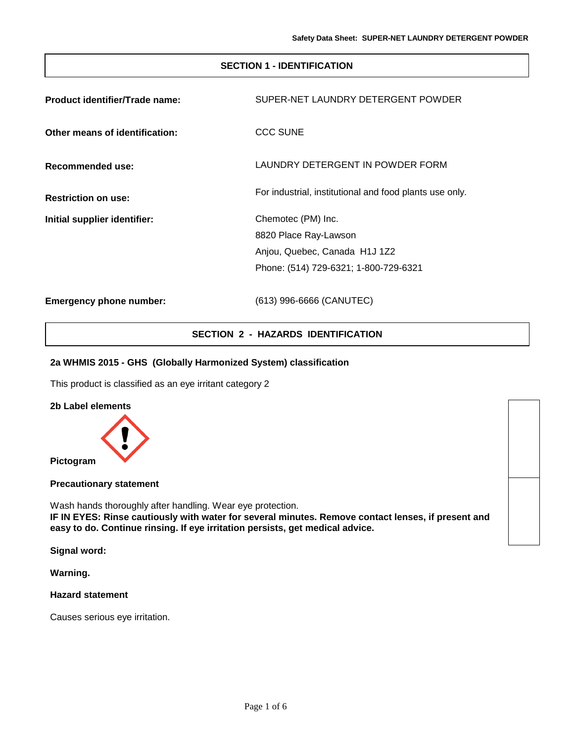## **SECTION 1 - IDENTIFICATION**

| Product identifier/Trade name: | SUPER-NET LAUNDRY DETERGENT POWDER                      |
|--------------------------------|---------------------------------------------------------|
| Other means of identification: | CCC SUNE                                                |
| Recommended use:               | LAUNDRY DETERGENT IN POWDER FORM                        |
| <b>Restriction on use:</b>     | For industrial, institutional and food plants use only. |
| Initial supplier identifier:   | Chemotec (PM) Inc.                                      |
|                                | 8820 Place Ray-Lawson                                   |
|                                | Anjou, Quebec, Canada H1J 1Z2                           |
|                                | Phone: (514) 729-6321; 1-800-729-6321                   |
| <b>Emergency phone number:</b> | (613) 996-6666 (CANUTEC)                                |

## **SECTION 2 - HAZARDS IDENTIFICATION**

### **2a WHMIS 2015 - GHS (Globally Harmonized System) classification**

This product is classified as an eye irritant category 2

**2b Label elements**



**Precautionary statement**

Wash hands thoroughly after handling. Wear eye protection. **IF IN EYES: Rinse cautiously with water for several minutes. Remove contact lenses, if present and easy to do. Continue rinsing. If eye irritation persists, get medical advice.**

**Signal word:**

**Warning.**

### **Hazard statement**

Causes serious eye irritation.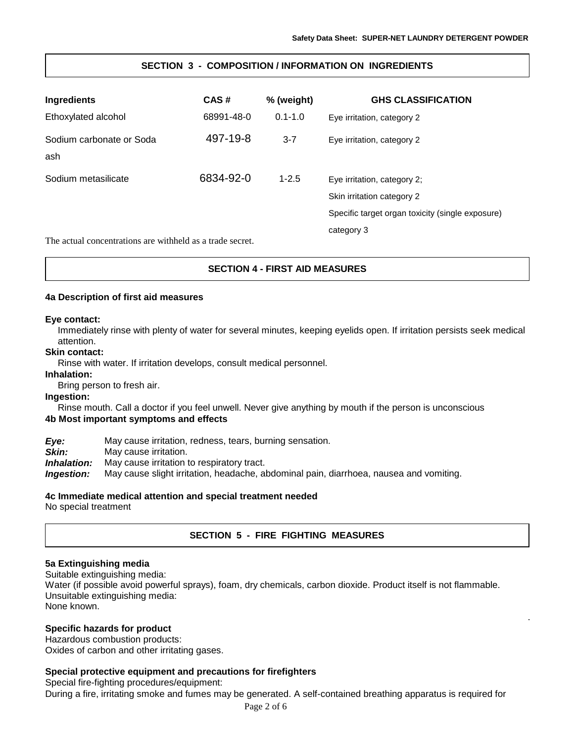.

## **SECTION 3 - COMPOSITION / INFORMATION ON INGREDIENTS**

| <b>Ingredients</b>                                        | CAS#       | % (weight)  | <b>GHS CLASSIFICATION</b>                                 |
|-----------------------------------------------------------|------------|-------------|-----------------------------------------------------------|
| Ethoxylated alcohol                                       | 68991-48-0 | $0.1 - 1.0$ | Eye irritation, category 2                                |
| Sodium carbonate or Soda<br>ash                           | 497-19-8   | $3 - 7$     | Eye irritation, category 2                                |
| Sodium metasilicate                                       | 6834-92-0  | $1 - 2.5$   | Eye irritation, category 2;<br>Skin irritation category 2 |
|                                                           |            |             | Specific target organ toxicity (single exposure)          |
| The actual concentrations are withheld as a trade secret. |            |             | category 3                                                |

## **SECTION 4 - FIRST AID MEASURES**

#### **4a Description of first aid measures**

#### **Eye contact:**

Immediately rinse with plenty of water for several minutes, keeping eyelids open. If irritation persists seek medical attention.

#### **Skin contact:**

Rinse with water. If irritation develops, consult medical personnel.

**Inhalation:**

Bring person to fresh air.

#### **Ingestion:**

Rinse mouth. Call a doctor if you feel unwell. Never give anything by mouth if the person is unconscious **4b Most important symptoms and effects**

*Eye:* May cause irritation, redness, tears, burning sensation. **Skin:** May cause irritation. *Inhalation:* May cause irritation to respiratory tract. *Ingestion:* May cause slight irritation, headache, abdominal pain, diarrhoea, nausea and vomiting.

### **4c Immediate medical attention and special treatment needed**

No special treatment

## **SECTION 5 - FIRE FIGHTING MEASURES**

### **5a Extinguishing media**

Suitable extinguishing media: Water (if possible avoid powerful sprays), foam, dry chemicals, carbon dioxide. Product itself is not flammable. Unsuitable extinguishing media: None known.

### **Specific hazards for product**

Hazardous combustion products: Oxides of carbon and other irritating gases.

## **Special protective equipment and precautions for firefighters**

Special fire-fighting procedures/equipment:

During a fire, irritating smoke and fumes may be generated. A self-contained breathing apparatus is required for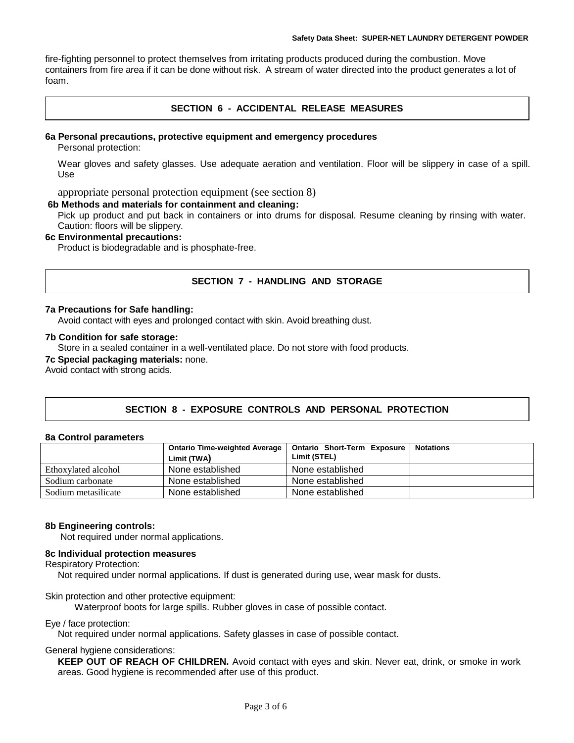fire-fighting personnel to protect themselves from irritating products produced during the combustion. Move containers from fire area if it can be done without risk. A stream of water directed into the product generates a lot of foam.

## **SECTION 6 - ACCIDENTAL RELEASE MEASURES**

## **6a Personal precautions, protective equipment and emergency procedures**

Personal protection:

Wear gloves and safety glasses. Use adequate aeration and ventilation. Floor will be slippery in case of a spill. Use

appropriate personal protection equipment (see section 8)

#### **6b Methods and materials for containment and cleaning:**

Pick up product and put back in containers or into drums for disposal. Resume cleaning by rinsing with water. Caution: floors will be slippery.

### **6c Environmental precautions:**

Product is biodegradable and is phosphate-free.

## **SECTION 7 - HANDLING AND STORAGE**

### **7a Precautions for Safe handling:**

Avoid contact with eyes and prolonged contact with skin. Avoid breathing dust.

### **7b Condition for safe storage:**

Store in a sealed container in a well-ventilated place. Do not store with food products.

### **7c Special packaging materials:** none.

Avoid contact with strong acids.

## **SECTION 8 - EXPOSURE CONTROLS AND PERSONAL PROTECTION**

#### **8a Control parameters**

|                     | <b>Ontario Time-weighted Average</b> | <b>Ontario Short-Term Exposure</b> | <b>Notations</b> |
|---------------------|--------------------------------------|------------------------------------|------------------|
|                     | Limit (TWA)                          | Limit (STEL)                       |                  |
| Ethoxylated alcohol | None established                     | None established                   |                  |
| Sodium carbonate    | None established                     | None established                   |                  |
| Sodium metasilicate | None established                     | None established                   |                  |

### **8b Engineering controls:**

Not required under normal applications.

## **8c Individual protection measures**

Respiratory Protection:

Not required under normal applications. If dust is generated during use, wear mask for dusts.

Skin protection and other protective equipment:

Waterproof boots for large spills. Rubber gloves in case of possible contact.

#### Eye / face protection:

Not required under normal applications. Safety glasses in case of possible contact.

#### General hygiene considerations:

**KEEP OUT OF REACH OF CHILDREN.** Avoid contact with eyes and skin. Never eat, drink, or smoke in work areas. Good hygiene is recommended after use of this product.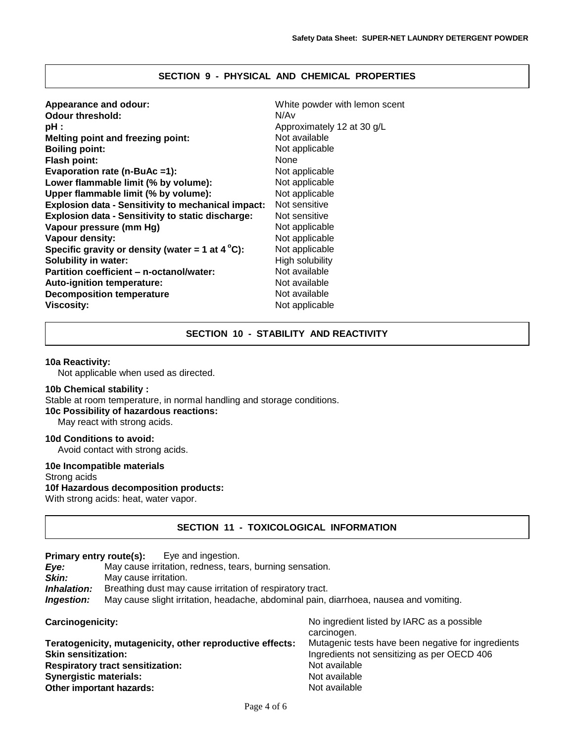## **SECTION 9 - PHYSICAL AND CHEMICAL PROPERTIES**

| Appearance and odour:                                     | White powder with lemon scent |
|-----------------------------------------------------------|-------------------------------|
| <b>Odour threshold:</b>                                   | N/Av                          |
| pH :                                                      | Approximately 12 at 30 g/L    |
| <b>Melting point and freezing point:</b>                  | Not available                 |
| <b>Boiling point:</b>                                     | Not applicable                |
| <b>Flash point:</b>                                       | None                          |
| Evaporation rate (n-BuAc =1):                             | Not applicable                |
| Lower flammable limit (% by volume):                      | Not applicable                |
| Upper flammable limit (% by volume):                      | Not applicable                |
| <b>Explosion data - Sensitivity to mechanical impact:</b> | Not sensitive                 |
| <b>Explosion data - Sensitivity to static discharge:</b>  | Not sensitive                 |
| Vapour pressure (mm Hg)                                   | Not applicable                |
| Vapour density:                                           | Not applicable                |
| Specific gravity or density (water = 1 at $4^{\circ}$ C): | Not applicable                |
| <b>Solubility in water:</b>                               | High solubility               |
| Partition coefficient – n-octanol/water:                  | Not available                 |
| <b>Auto-ignition temperature:</b>                         | Not available                 |
| <b>Decomposition temperature</b>                          | Not available                 |
| <b>Viscosity:</b>                                         | Not applicable                |

### **SECTION 10 - STABILITY AND REACTIVITY**

#### **10a Reactivity:**

Not applicable when used as directed.

### **10b Chemical stability :**

Stable at room temperature, in normal handling and storage conditions.

**10c Possibility of hazardous reactions:**

May react with strong acids.

# **10d Conditions to avoid:**

Avoid contact with strong acids.

### **10e Incompatible materials**

Strong acids

## **10f Hazardous decomposition product***s***:**

With strong acids: heat, water vapor.

## **SECTION 11 - TOXICOLOGICAL INFORMATION**

### **Primary entry route(s):** Eye and ingestion.

*Eye:* May cause irritation, redness, tears, burning sensation.

May cause irritation.

**Inhalation:** Breathing dust may cause irritation of respiratory tract.

*Ingestion:* May cause slight irritation, headache, abdominal pain, diarrhoea, nausea and vomiting.

| <b>Carcinogenicity:</b>                                   | No ingredient listed by IARC as a possible<br>carcinogen. |
|-----------------------------------------------------------|-----------------------------------------------------------|
| Teratogenicity, mutagenicity, other reproductive effects: | Mutagenic tests have been negative for ingredients        |
| <b>Skin sensitization:</b>                                | Ingredients not sensitizing as per OECD 406               |
| <b>Respiratory tract sensitization:</b>                   | Not available                                             |
| <b>Synergistic materials:</b>                             | Not available                                             |
| Other important hazards:                                  | Not available                                             |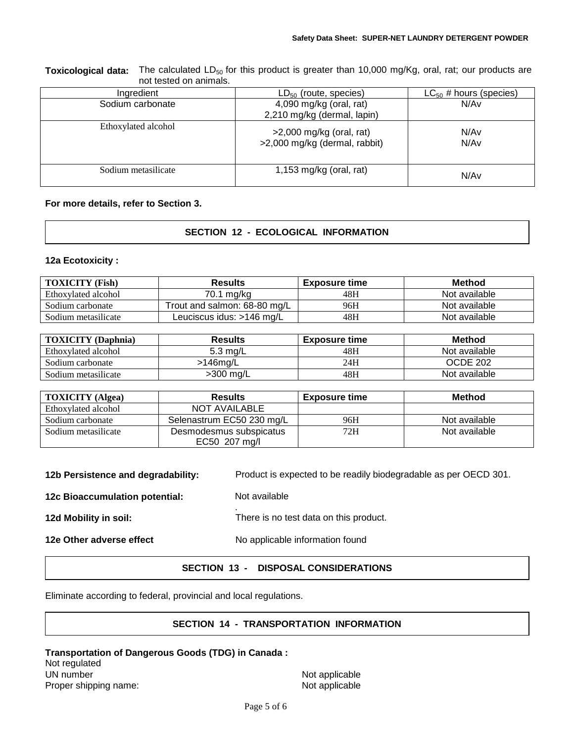**Toxicological data:** The calculated LD<sub>50</sub> for this product is greater than 10,000 mg/Kg, oral, rat; our products are not tested on animals.

| Ingredient          | $LD_{50}$ (route, species)                                  | $LC_{50}$ # hours (species) |
|---------------------|-------------------------------------------------------------|-----------------------------|
| Sodium carbonate    | 4,090 mg/kg (oral, rat)                                     | N/Av                        |
|                     | 2,210 mg/kg (dermal, lapin)                                 |                             |
| Ethoxylated alcohol | $>2,000$ mg/kg (oral, rat)<br>>2,000 mg/kg (dermal, rabbit) | N/Av<br>N/Av                |
| Sodium metasilicate | 1,153 mg/kg (oral, rat)                                     | N/Av                        |

## **For more details, refer to Section 3.**

## **SECTION 12 - ECOLOGICAL INFORMATION**

### **12a Ecotoxicity :**

| <b>TOXICITY (Fish)</b> | <b>Results</b>               | <b>Exposure time</b> | <b>Method</b> |
|------------------------|------------------------------|----------------------|---------------|
| Ethoxylated alcohol    | 70.1 mg/kg                   | 48H                  | Not available |
| Sodium carbonate       | Trout and salmon: 68-80 mg/L | 96H                  | Not available |
| Sodium metasilicate    | Leuciscus idus: >146 mg/L    | 48H                  | Not available |

| <b>TOXICITY</b> (Daphnia) | <b>Results</b> | <b>Exposure time</b> | Method        |
|---------------------------|----------------|----------------------|---------------|
| Ethoxylated alcohol       | 5.3 mg/L       | 48H                  | Not available |
| Sodium carbonate          | $>146$ ma/L    | 24H                  | OCDE 202      |
| Sodium metasilicate       | $>300$ mg/L    | 48H                  | Not available |

| <b>TOXICITY</b> (Algea) | <b>Results</b>                           | <b>Exposure time</b> | <b>Method</b> |
|-------------------------|------------------------------------------|----------------------|---------------|
| Ethoxylated alcohol     | NOT AVAILABLE                            |                      |               |
| Sodium carbonate        | Selenastrum EC50 230 mg/L                | 96H                  | Not available |
| Sodium metasilicate     | Desmodesmus subspicatus<br>EC50 207 mg/l | 72H                  | Not available |

| 12b Persistence and degradability: | Product is expected to be readily biodegradable as per OECD 301. |
|------------------------------------|------------------------------------------------------------------|
| 12c Bioaccumulation potential:     | Not available                                                    |
| 12d Mobility in soil:              | There is no test data on this product.                           |
| 12e Other adverse effect           | No applicable information found                                  |
|                                    |                                                                  |

### **SECTION 13 - DISPOSAL CONSIDERATIONS**

Eliminate according to federal, provincial and local regulations.

## **SECTION 14 - TRANSPORTATION INFORMATION**

### **Transportation of Dangerous Goods (TDG) in Canada :** Not regulated UN number Not applicable Proper shipping name: Not applicable